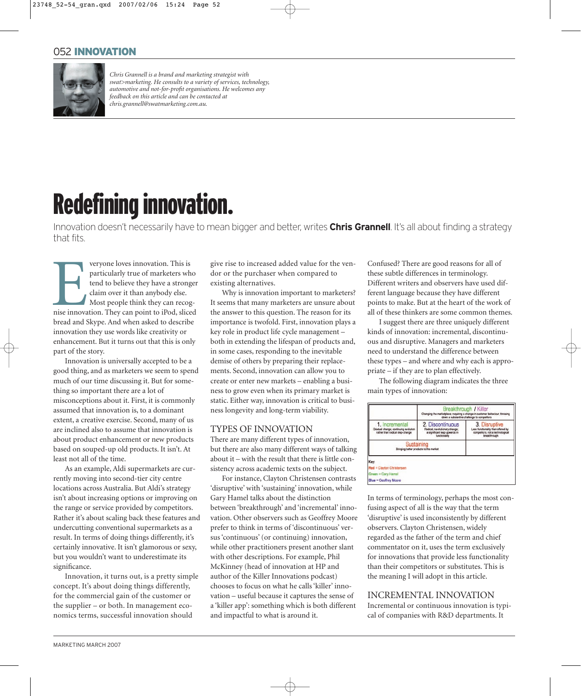# 052 INNOVATION

23748\_52-54\_gran.qxd 2007/02/06 15:24 Page 52



*Chris Grannell is a brand and marketing strategist with swat>marketing. He consults to a variety of services, technology, automotive and not-for-profit organisations. He welcomes any feedback on this article and can be contacted at chris.grannell@swatmarketing.com.au.*

# Redefining innovation.

Innovation doesn't necessarily have to mean bigger and better, writes **Chris Grannell**. It's all about finding a strategy that fits.

veryone loves innovation. This is<br>particularly true of marketers who<br>tend to believe they have a stronge<br>claim over it than anybody else.<br>Most people think they can recog-<br>nise innovation. They can point to iPod, sliced<br>ha veryone loves innovation. This is particularly true of marketers who tend to believe they have a stronger claim over it than anybody else. Most people think they can recogbread and Skype. And when asked to describe innovation they use words like creativity or enhancement. But it turns out that this is only part of the story.

Innovation is universally accepted to be a good thing, and as marketers we seem to spend much of our time discussing it. But for something so important there are a lot of misconceptions about it. First, it is commonly assumed that innovation is, to a dominant extent, a creative exercise. Second, many of us are inclined also to assume that innovation is about product enhancement or new products based on souped-up old products. It isn't. At least not all of the time.

As an example, Aldi supermarkets are currently moving into second-tier city centre locations across Australia. But Aldi's strategy isn't about increasing options or improving on the range or service provided by competitors. Rather it's about scaling back these features and undercutting conventional supermarkets as a result. In terms of doing things differently, it's certainly innovative. It isn't glamorous or sexy, but you wouldn't want to underestimate its significance.

Innovation, it turns out, is a pretty simple concept. It's about doing things differently, for the commercial gain of the customer or the supplier – or both. In management economics terms, successful innovation should

give rise to increased added value for the vendor or the purchaser when compared to existing alternatives.

Why is innovation important to marketers? It seems that many marketers are unsure about the answer to this question. The reason for its importance is twofold. First, innovation plays a key role in product life cycle management – both in extending the lifespan of products and, in some cases, responding to the inevitable demise of others by preparing their replacements. Second, innovation can allow you to create or enter new markets – enabling a business to grow even when its primary market is static. Either way, innovation is critical to business longevity and long-term viability.

## TYPES OF INNOVATION

There are many different types of innovation, but there are also many different ways of talking about it – with the result that there is little consistency across academic texts on the subject.

For instance, Clayton Christensen contrasts 'disruptive' with 'sustaining' innovation, while Gary Hamel talks about the distinction between 'breakthrough' and 'incremental' innovation. Other observers such as Geoffrey Moore prefer to think in terms of 'discontinuous' versus 'continuous' (or continuing) innovation, while other practitioners present another slant with other descriptions. For example, Phil McKinney (head of innovation at HP and author of the Killer Innovations podcast) chooses to focus on what he calls 'killer' innovation – useful because it captures the sense of a 'killer app': something which is both different and impactful to what is around it.

 $\forall$ 

Confused? There are good reasons for all of these subtle differences in terminology. Different writers and observers have used different language because they have different points to make. But at the heart of the work of all of these thinkers are some common themes.

I suggest there are three uniquely different kinds of innovation: incremental, discontinuous and disruptive. Managers and marketers need to understand the difference between these types – and where and why each is appropriate – if they are to plan effectively.

The following diagram indicates the three main types of innovation:



In terms of terminology, perhaps the most confusing aspect of all is the way that the term 'disruptive' is used inconsistently by different observers. Clayton Christensen, widely regarded as the father of the term and chief commentator on it, uses the term exclusively for innovations that provide less functionality than their competitors or substitutes. This is the meaning I will adopt in this article.

## INCREMENTAL INNOVATION

Incremental or continuous innovation is typical of companies with R&D departments. It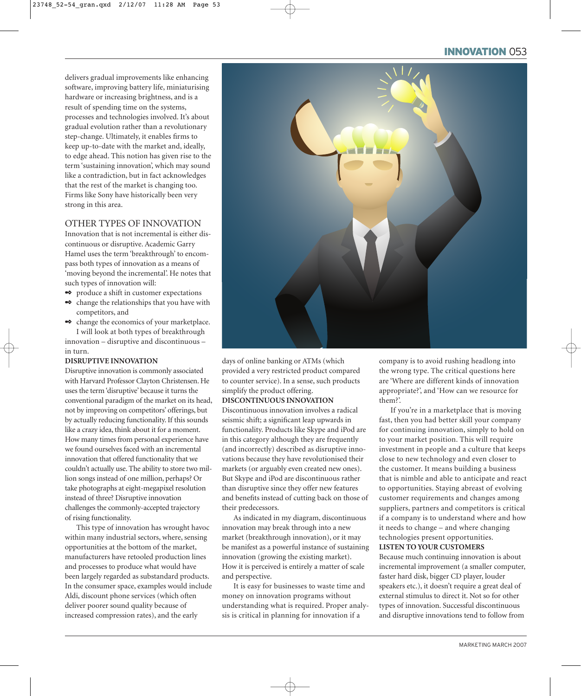# INNOVATION 053

delivers gradual improvements like enhancing software, improving battery life, miniaturising hardware or increasing brightness, and is a result of spending time on the systems, processes and technologies involved. It's about gradual evolution rather than a revolutionary step-change. Ultimately, it enables firms to keep up-to-date with the market and, ideally, to edge ahead. This notion has given rise to the term 'sustaining innovation', which may sound like a contradiction, but in fact acknowledges that the rest of the market is changing too. Firms like Sony have historically been very strong in this area.

23748\_52-54\_gran.qxd 2/12/07 11:28 AM Page 53

# OTHER TYPES OF INNOVATION

Innovation that is not incremental is either discontinuous or disruptive. Academic Garry Hamel uses the term 'breakthrough' to encompass both types of innovation as a means of 'moving beyond the incremental'. He notes that such types of innovation will:

- ✒ produce a shift in customer expectations
- ✒ change the relationships that you have with competitors, and
- ✒ change the economics of your marketplace. I will look at both types of breakthrough innovation – disruptive and discontinuous –

in turn.

#### **DISRUPTIVE INNOVATION**

Disruptive innovation is commonly associated with Harvard Professor Clayton Christensen. He uses the term 'disruptive' because it turns the conventional paradigm of the market on its head, not by improving on competitors' offerings, but by actually reducing functionality. If this sounds like a crazy idea, think about it for a moment. How many times from personal experience have we found ourselves faced with an incremental innovation that offered functionality that we couldn't actually use. The ability to store two million songs instead of one million, perhaps? Or take photographs at eight-megapixel resolution instead of three? Disruptive innovation challenges the commonly-accepted trajectory of rising functionality.

This type of innovation has wrought havoc within many industrial sectors, where, sensing opportunities at the bottom of the market, manufacturers have retooled production lines and processes to produce what would have been largely regarded as substandard products. In the consumer space, examples would include Aldi, discount phone services (which often deliver poorer sound quality because of increased compression rates), and the early



days of online banking or ATMs (which provided a very restricted product compared to counter service). In a sense, such products simplify the product offering.

#### **DISCONTINUOUS INNOVATION**

Discontinuous innovation involves a radical seismic shift; a significant leap upwards in functionality. Products like Skype and iPod are in this category although they are frequently (and incorrectly) described as disruptive innovations because they have revolutionised their markets (or arguably even created new ones). But Skype and iPod are discontinuous rather than disruptive since they offer new features and benefits instead of cutting back on those of their predecessors.

As indicated in my diagram, discontinuous innovation may break through into a new market (breakthrough innovation), or it may be manifest as a powerful instance of sustaining innovation (growing the existing market). How it is perceived is entirely a matter of scale and perspective.

It is easy for businesses to waste time and money on innovation programs without understanding what is required. Proper analysis is critical in planning for innovation if a

company is to avoid rushing headlong into the wrong type. The critical questions here are 'Where are different kinds of innovation appropriate?', and 'How can we resource for them?'.

If you're in a marketplace that is moving fast, then you had better skill your company for continuing innovation, simply to hold on to your market position. This will require investment in people and a culture that keeps close to new technology and even closer to the customer. It means building a business that is nimble and able to anticipate and react to opportunities. Staying abreast of evolving customer requirements and changes among suppliers, partners and competitors is critical if a company is to understand where and how it needs to change – and where changing technologies present opportunities. **LISTEN TO YOUR CUSTOMERS**

Because much continuing innovation is about incremental improvement (a smaller computer, faster hard disk, bigger CD player, louder speakers etc.), it doesn't require a great deal of external stimulus to direct it. Not so for other types of innovation. Successful discontinuous and disruptive innovations tend to follow from